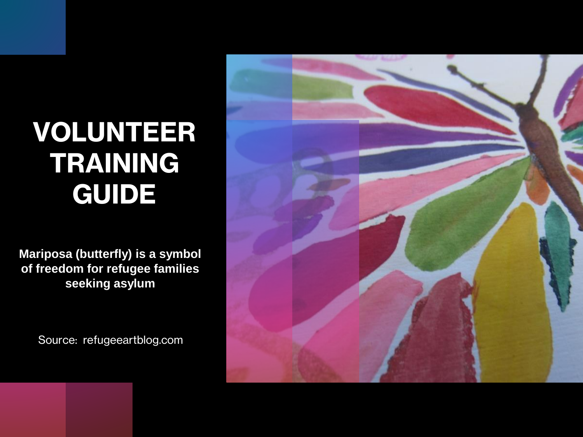## **VOLUNTEER TRAINING GUIDE**

**Mariposa (butterfly) is a symbol of freedom for refugee families seeking asylum**

Source: refugeeartblog.com

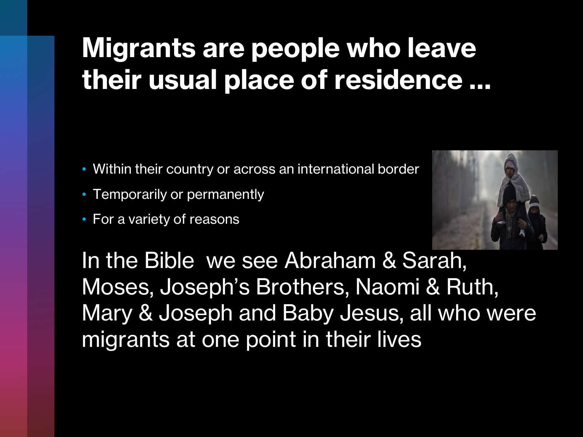## **Migrants are people who leave their usual place of residence …**

- Within their country or across an international border
- Temporarily or permanently
- For a variety of reasons



In the Bible we see Abraham & Sarah, Moses, Joseph's Brothers, Naomi & Ruth, Mary & Joseph and Baby Jesus, all who were migrants at one point in their lives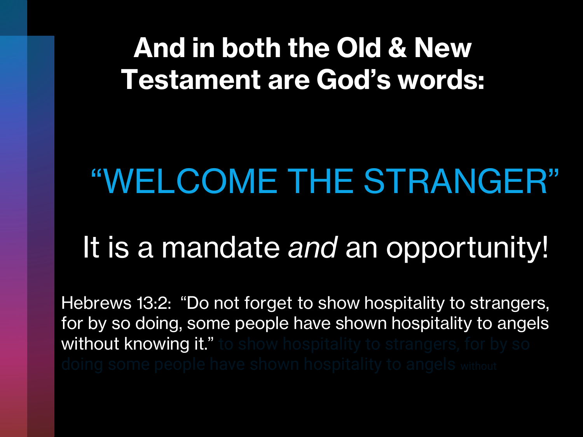## **And in both the Old & New Testament are God's words:**

# "WELCOME THE STRANGER"

# It is a mandate *and* an opportunity!

Hebrews 13:2: "Do not forget to show hospitality to strangers, for by so doing, some people have shown hospitality to angels without knowing it."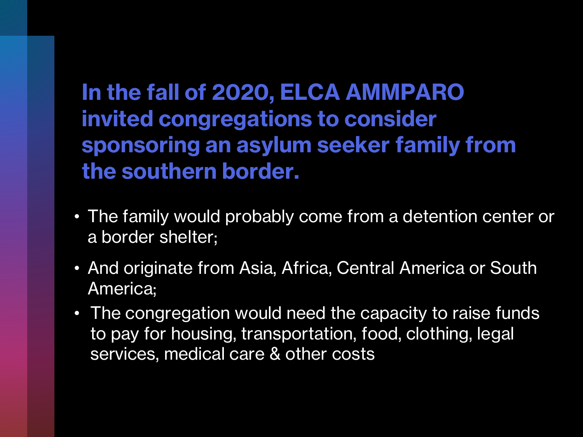**In the fall of 2020, ELCA AMMPARO invited congregations to consider sponsoring an asylum seeker family from the southern border.**

- The family would probably come from a detention center or a border shelter;
- And originate from Asia, Africa, Central America or South America;
- The congregation would need the capacity to raise funds to pay for housing, transportation, food, clothing, legal services, medical care & other costs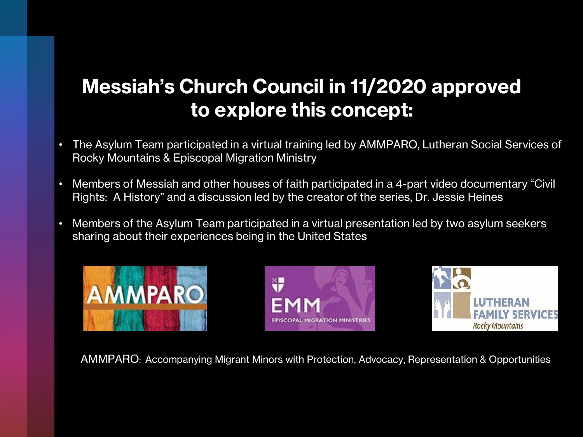#### **Messiah's Church Council in 11/2020 approved to explore this concept:**

- The Asylum Team participated in a virtual training led by AMMPARO, Lutheran Social Services of Rocky Mountains & Episcopal Migration Ministry
- Members of Messiah and other houses of faith participated in a 4-part video documentary "Civil Rights: A History" and a discussion led by the creator of the series, Dr. Jessie Heines
- Members of the Asylum Team participated in a virtual presentation led by two asylum seekers sharing about their experiences being in the United States







AMMPARO: Accompanying Migrant Minors with Protection, Advocacy, Representation & Opportunities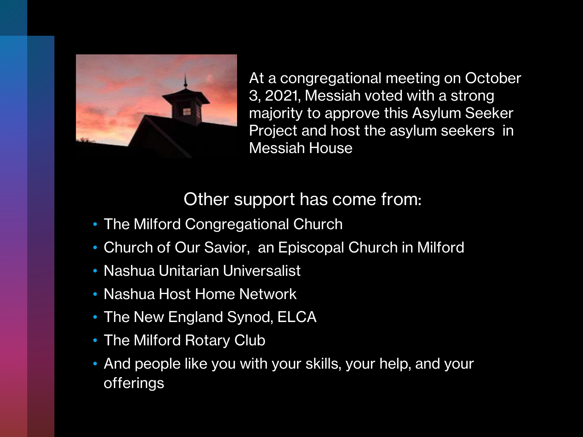

At a congregational meeting on October 3, 2021, Messiah voted with a strong majority to approve this Asylum Seeker Project and host the asylum seekers in Messiah House

#### Other support has come from:

- The Milford Congregational Church
- Church of Our Savior, an Episcopal Church in Milford
- Nashua Unitarian Universalist
- Nashua Host Home Network
- The New England Synod, ELCA
- The Milford Rotary Club
- And people like you with your skills, your help, and your offerings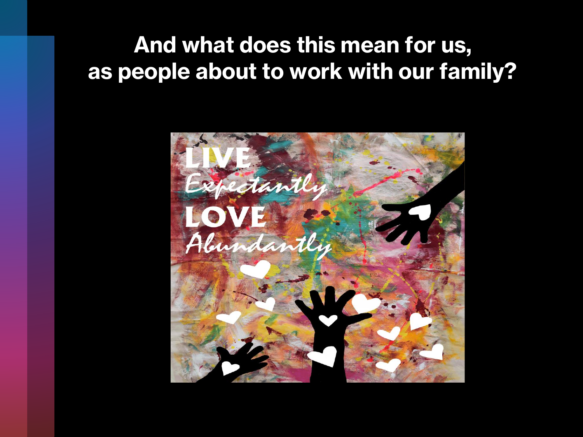#### **And what does this mean for us, as people about to work with our family?**

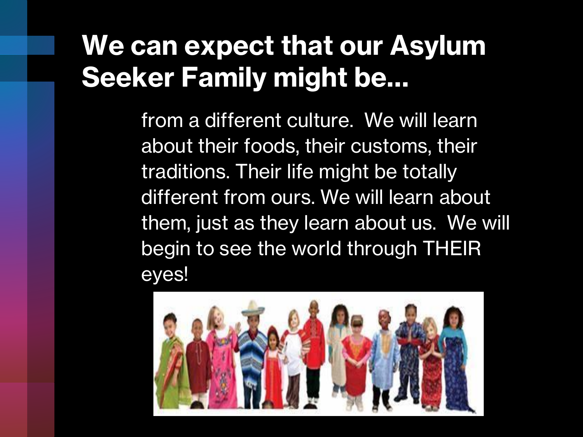## **We can expect that our Asylum Seeker Family might be…**

from a different culture. We will learn about their foods, their customs, their traditions. Their life might be totally different from ours. We will learn about them, just as they learn about us. We will begin to see the world through THEIR eyes!

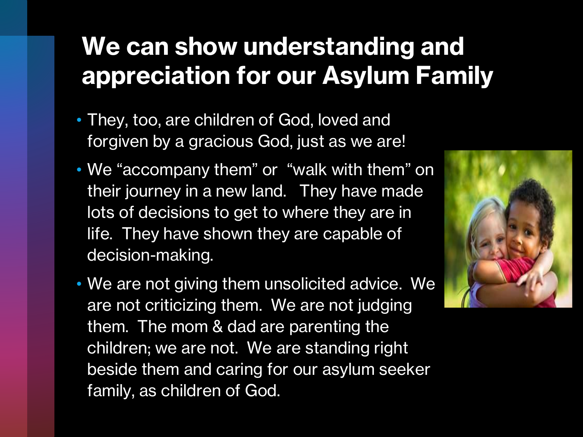#### **We can show understanding and appreciation for our Asylum Family**

- They, too, are children of God, loved and forgiven by a gracious God, just as we are!
- We "accompany them" or "walk with them" on their journey in a new land. They have made lots of decisions to get to where they are in life. They have shown they are capable of decision-making.
- We are not giving them unsolicited advice. We are not criticizing them. We are not judging them. The mom & dad are parenting the children; we are not. We are standing right beside them and caring for our asylum seeker family, as children of God.

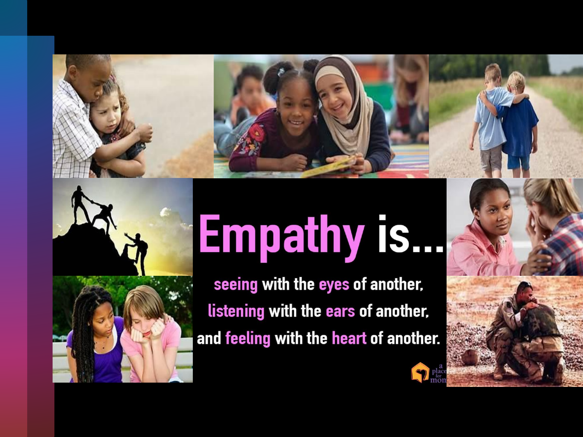



# **Empathy is...**

seeing with the eyes of another, listening with the ears of another, and feeling with the heart of another.

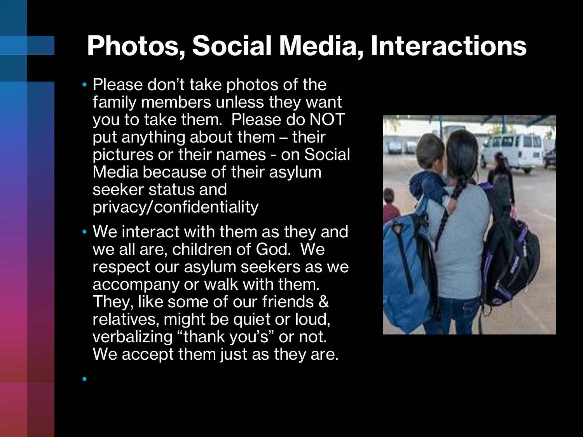## **Photos, Social Media, Interactions**

- Please don't take photos of the family members unless they want you to take them. Please do NOT put anything about them – their pictures or their names - on Social Media because of their asylum seeker status and privacy/confidentiality
- We interact with them as they and we all are, children of God. We respect our asylum seekers as we accompany or walk with them. They, like some of our friends & relatives, might be quiet or loud, verbalizing "thank you's" or not. We accept them just as they are.

•

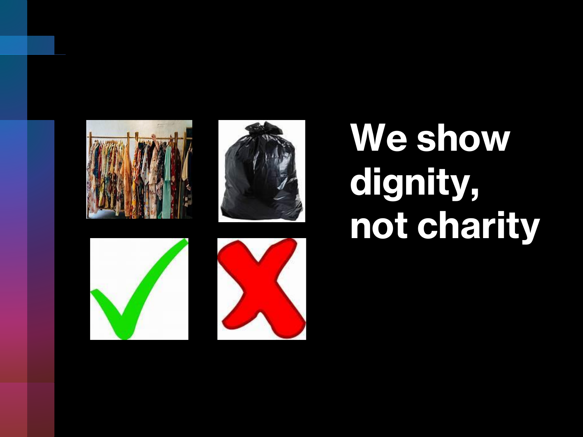







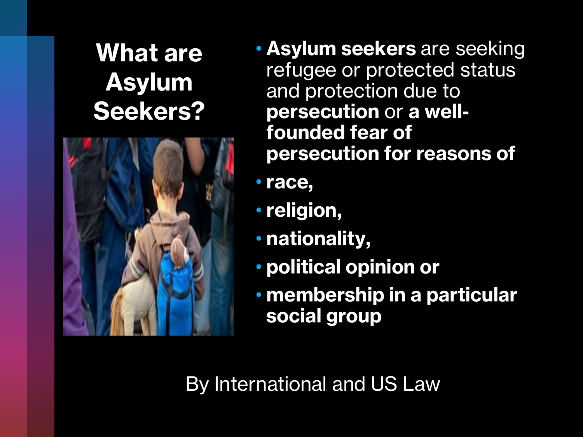#### **What are Asylum Seekers?**



- **Asylum seekers** are seeking refugee or protected status and protection due to **persecution** or **a wellfounded fear of persecution for reasons of**
- **race,**
- **religion,**
- **nationality,**
- **political opinion or**
- **membership in a particular social group**

By International and US Law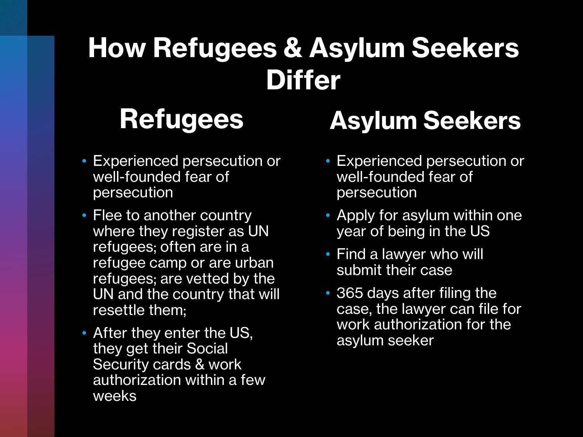# **How Refugees & Asylum Seekers Differ**

### **Refugees**

- Experienced persecution or well-founded fear of persecution
- Flee to another country where they register as UN refugees; often are in a refugee camp or are urban refugees; are vetted by the UN and the country that will resettle them;
- After they enter the US, they get their Social Security cards & work authorization within a few weeks

### **Asylum Seekers**

- Experienced persecution or well-founded fear of persecution
- Apply for asylum within one year of being in the US
- Find a lawyer who will submit their case
- 365 days after filing the case, the lawyer can file for work authorization for the asylum seeker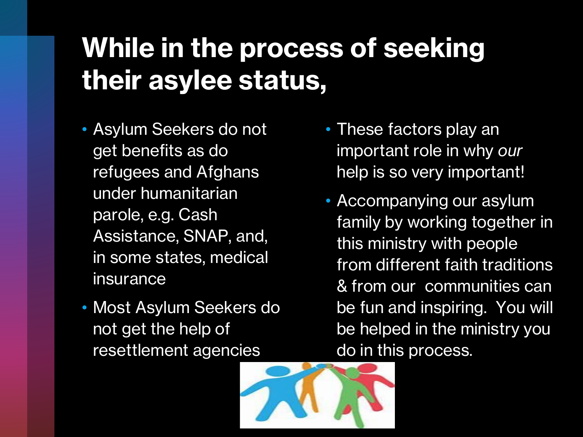## **While in the process of seeking their asylee status,**

- Asylum Seekers do not get benefits as do refugees and Afghans under humanitarian parole, e.g. Cash Assistance, SNAP, and, in some states, medical insurance
- Most Asylum Seekers do not get the help of resettlement agencies
- These factors play an important role in why *our* help is so very important!
- Accompanying our asylum family by working together in this ministry with people from different faith traditions & from our communities can be fun and inspiring. You will be helped in the ministry you do in this process.